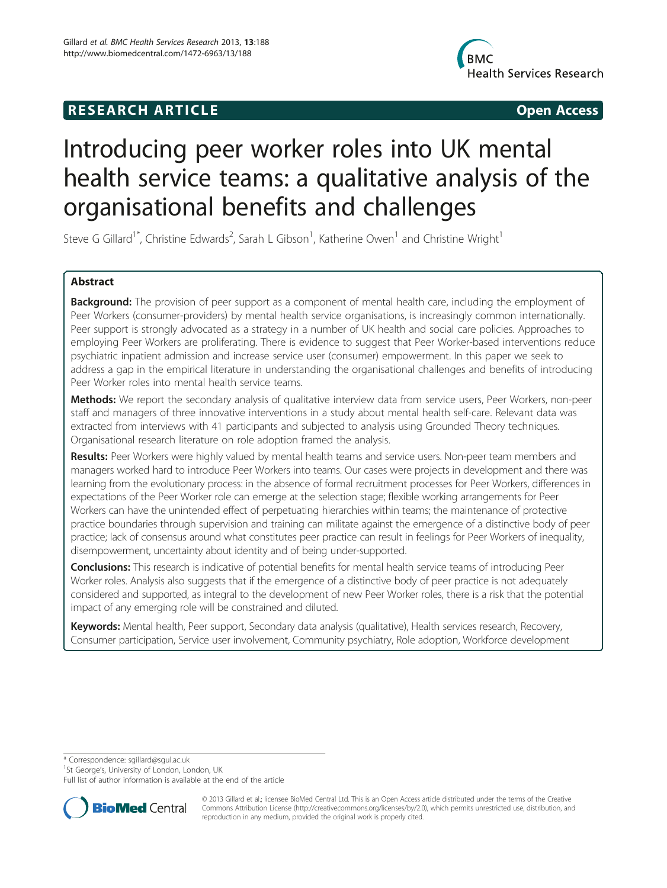## **RESEARCH ARTICLE Example 20 and 20 and 20 and 20 and 20 and 20 and 20 and 20 and 20 and 20 and 20 and 20 and 20 and 20 and 20 and 20 and 20 and 20 and 20 and 20 and 20 and 20 and 20 and 20 and 20 and 20 and 20 and 20 an**



# Introducing peer worker roles into UK mental health service teams: a qualitative analysis of the organisational benefits and challenges

Steve G Gillard<sup>1\*</sup>, Christine Edwards<sup>2</sup>, Sarah L Gibson<sup>1</sup>, Katherine Owen<sup>1</sup> and Christine Wright<sup>1</sup>

## Abstract

Background: The provision of peer support as a component of mental health care, including the employment of Peer Workers (consumer-providers) by mental health service organisations, is increasingly common internationally. Peer support is strongly advocated as a strategy in a number of UK health and social care policies. Approaches to employing Peer Workers are proliferating. There is evidence to suggest that Peer Worker-based interventions reduce psychiatric inpatient admission and increase service user (consumer) empowerment. In this paper we seek to address a gap in the empirical literature in understanding the organisational challenges and benefits of introducing Peer Worker roles into mental health service teams.

Methods: We report the secondary analysis of qualitative interview data from service users, Peer Workers, non-peer staff and managers of three innovative interventions in a study about mental health self-care. Relevant data was extracted from interviews with 41 participants and subjected to analysis using Grounded Theory techniques. Organisational research literature on role adoption framed the analysis.

Results: Peer Workers were highly valued by mental health teams and service users. Non-peer team members and managers worked hard to introduce Peer Workers into teams. Our cases were projects in development and there was learning from the evolutionary process: in the absence of formal recruitment processes for Peer Workers, differences in expectations of the Peer Worker role can emerge at the selection stage; flexible working arrangements for Peer Workers can have the unintended effect of perpetuating hierarchies within teams; the maintenance of protective practice boundaries through supervision and training can militate against the emergence of a distinctive body of peer practice; lack of consensus around what constitutes peer practice can result in feelings for Peer Workers of inequality, disempowerment, uncertainty about identity and of being under-supported.

Conclusions: This research is indicative of potential benefits for mental health service teams of introducing Peer Worker roles. Analysis also suggests that if the emergence of a distinctive body of peer practice is not adequately considered and supported, as integral to the development of new Peer Worker roles, there is a risk that the potential impact of any emerging role will be constrained and diluted.

Keywords: Mental health, Peer support, Secondary data analysis (qualitative), Health services research, Recovery, Consumer participation, Service user involvement, Community psychiatry, Role adoption, Workforce development

\* Correspondence: [sgillard@sgul.ac.uk](mailto:sgillard@sgul.ac.uk) <sup>1</sup>

<sup>1</sup>St George's, University of London, London, UK

Full list of author information is available at the end of the article



© 2013 Gillard et al.; licensee BioMed Central Ltd. This is an Open Access article distributed under the terms of the Creative Commons Attribution License [\(http://creativecommons.org/licenses/by/2.0\)](http://creativecommons.org/licenses/by/2.0), which permits unrestricted use, distribution, and reproduction in any medium, provided the original work is properly cited.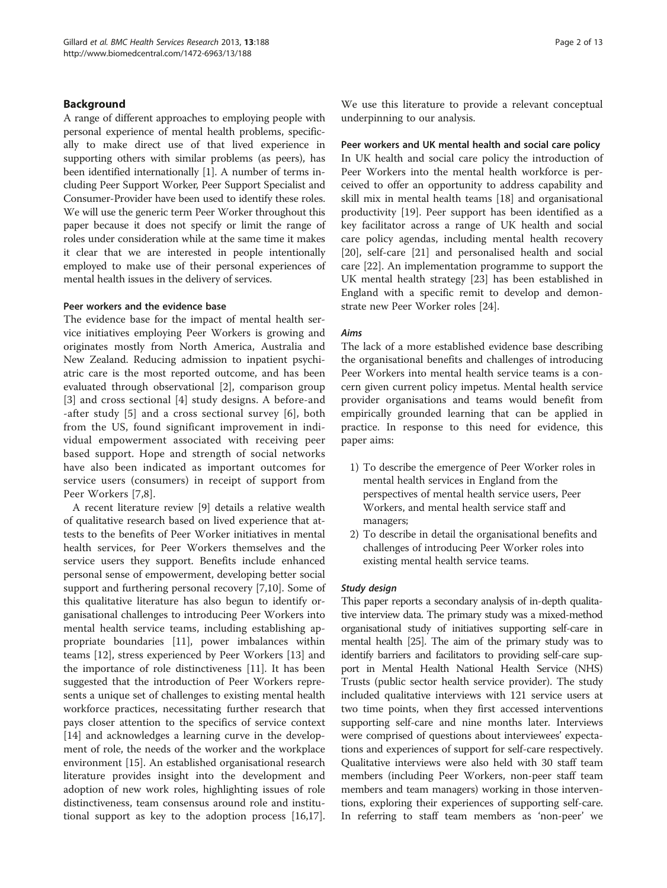## Background

A range of different approaches to employing people with personal experience of mental health problems, specifically to make direct use of that lived experience in supporting others with similar problems (as peers), has been identified internationally [[1\]](#page-11-0). A number of terms including Peer Support Worker, Peer Support Specialist and Consumer-Provider have been used to identify these roles. We will use the generic term Peer Worker throughout this paper because it does not specify or limit the range of roles under consideration while at the same time it makes it clear that we are interested in people intentionally employed to make use of their personal experiences of mental health issues in the delivery of services.

### Peer workers and the evidence base

The evidence base for the impact of mental health service initiatives employing Peer Workers is growing and originates mostly from North America, Australia and New Zealand. Reducing admission to inpatient psychiatric care is the most reported outcome, and has been evaluated through observational [\[2](#page-11-0)], comparison group [[3\]](#page-11-0) and cross sectional [[4\]](#page-11-0) study designs. A before-and -after study [[5](#page-11-0)] and a cross sectional survey [[6\]](#page-11-0), both from the US, found significant improvement in individual empowerment associated with receiving peer based support. Hope and strength of social networks have also been indicated as important outcomes for service users (consumers) in receipt of support from Peer Workers [[7,8](#page-11-0)].

A recent literature review [[9\]](#page-11-0) details a relative wealth of qualitative research based on lived experience that attests to the benefits of Peer Worker initiatives in mental health services, for Peer Workers themselves and the service users they support. Benefits include enhanced personal sense of empowerment, developing better social support and furthering personal recovery [[7,10\]](#page-11-0). Some of this qualitative literature has also begun to identify organisational challenges to introducing Peer Workers into mental health service teams, including establishing appropriate boundaries [[11\]](#page-11-0), power imbalances within teams [\[12\]](#page-11-0), stress experienced by Peer Workers [\[13](#page-11-0)] and the importance of role distinctiveness [\[11](#page-11-0)]. It has been suggested that the introduction of Peer Workers represents a unique set of challenges to existing mental health workforce practices, necessitating further research that pays closer attention to the specifics of service context [[14\]](#page-12-0) and acknowledges a learning curve in the development of role, the needs of the worker and the workplace environment [\[15\]](#page-12-0). An established organisational research literature provides insight into the development and adoption of new work roles, highlighting issues of role distinctiveness, team consensus around role and institutional support as key to the adoption process [\[16,17](#page-12-0)]. We use this literature to provide a relevant conceptual underpinning to our analysis.

Peer workers and UK mental health and social care policy

In UK health and social care policy the introduction of Peer Workers into the mental health workforce is perceived to offer an opportunity to address capability and skill mix in mental health teams [\[18](#page-12-0)] and organisational productivity [\[19](#page-12-0)]. Peer support has been identified as a key facilitator across a range of UK health and social care policy agendas, including mental health recovery [[20\]](#page-12-0), self-care [[21\]](#page-12-0) and personalised health and social care [[22\]](#page-12-0). An implementation programme to support the UK mental health strategy [\[23](#page-12-0)] has been established in England with a specific remit to develop and demonstrate new Peer Worker roles [\[24\]](#page-12-0).

### Aims

The lack of a more established evidence base describing the organisational benefits and challenges of introducing Peer Workers into mental health service teams is a concern given current policy impetus. Mental health service provider organisations and teams would benefit from empirically grounded learning that can be applied in practice. In response to this need for evidence, this paper aims:

- 1) To describe the emergence of Peer Worker roles in mental health services in England from the perspectives of mental health service users, Peer Workers, and mental health service staff and managers;
- 2) To describe in detail the organisational benefits and challenges of introducing Peer Worker roles into existing mental health service teams.

#### Study design

This paper reports a secondary analysis of in-depth qualitative interview data. The primary study was a mixed-method organisational study of initiatives supporting self-care in mental health [[25\]](#page-12-0). The aim of the primary study was to identify barriers and facilitators to providing self-care support in Mental Health National Health Service (NHS) Trusts (public sector health service provider). The study included qualitative interviews with 121 service users at two time points, when they first accessed interventions supporting self-care and nine months later. Interviews were comprised of questions about interviewees' expectations and experiences of support for self-care respectively. Qualitative interviews were also held with 30 staff team members (including Peer Workers, non-peer staff team members and team managers) working in those interventions, exploring their experiences of supporting self-care. In referring to staff team members as 'non-peer' we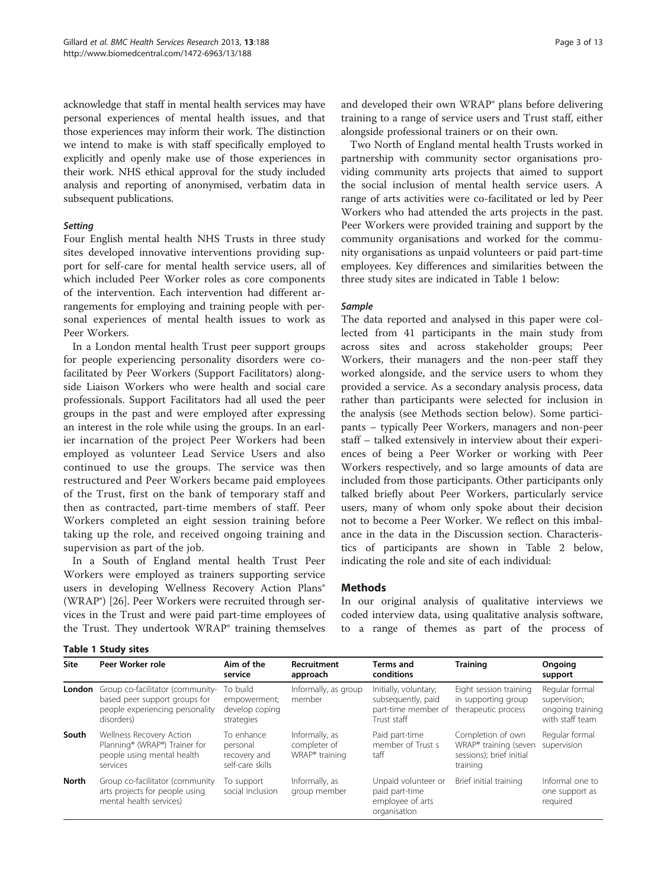acknowledge that staff in mental health services may have personal experiences of mental health issues, and that those experiences may inform their work. The distinction we intend to make is with staff specifically employed to explicitly and openly make use of those experiences in their work. NHS ethical approval for the study included analysis and reporting of anonymised, verbatim data in subsequent publications.

## Setting

Four English mental health NHS Trusts in three study sites developed innovative interventions providing support for self-care for mental health service users, all of which included Peer Worker roles as core components of the intervention. Each intervention had different arrangements for employing and training people with personal experiences of mental health issues to work as Peer Workers.

In a London mental health Trust peer support groups for people experiencing personality disorders were cofacilitated by Peer Workers (Support Facilitators) alongside Liaison Workers who were health and social care professionals. Support Facilitators had all used the peer groups in the past and were employed after expressing an interest in the role while using the groups. In an earlier incarnation of the project Peer Workers had been employed as volunteer Lead Service Users and also continued to use the groups. The service was then restructured and Peer Workers became paid employees of the Trust, first on the bank of temporary staff and then as contracted, part-time members of staff. Peer Workers completed an eight session training before taking up the role, and received ongoing training and supervision as part of the job.

In a South of England mental health Trust Peer Workers were employed as trainers supporting service users in developing Wellness Recovery Action Plans<sup>®</sup> (WRAP®) [[26](#page-12-0)]. Peer Workers were recruited through services in the Trust and were paid part-time employees of the Trust. They undertook WRAP® training themselves

Table 1 Study sites

and developed their own WRAP® plans before delivering training to a range of service users and Trust staff, either alongside professional trainers or on their own.

Two North of England mental health Trusts worked in partnership with community sector organisations providing community arts projects that aimed to support the social inclusion of mental health service users. A range of arts activities were co-facilitated or led by Peer Workers who had attended the arts projects in the past. Peer Workers were provided training and support by the community organisations and worked for the community organisations as unpaid volunteers or paid part-time employees. Key differences and similarities between the three study sites are indicated in Table 1 below:

#### Sample

The data reported and analysed in this paper were collected from 41 participants in the main study from across sites and across stakeholder groups; Peer Workers, their managers and the non-peer staff they worked alongside, and the service users to whom they provided a service. As a secondary analysis process, data rather than participants were selected for inclusion in the analysis (see Methods section below). Some participants – typically Peer Workers, managers and non-peer staff – talked extensively in interview about their experiences of being a Peer Worker or working with Peer Workers respectively, and so large amounts of data are included from those participants. Other participants only talked briefly about Peer Workers, particularly service users, many of whom only spoke about their decision not to become a Peer Worker. We reflect on this imbalance in the data in the Discussion section. Characteristics of participants are shown in Table [2](#page-3-0) below, indicating the role and site of each individual:

### Methods

In our original analysis of qualitative interviews we coded interview data, using qualitative analysis software, to a range of themes as part of the process of

| <b>Site</b>  | Peer Worker role                                                                                                   | Aim of the<br>service                                      | Recruitment<br>approach                                      | Terms and<br>conditions                                                           | <b>Training</b>                                                                    | Ongoing<br>support                                                    |
|--------------|--------------------------------------------------------------------------------------------------------------------|------------------------------------------------------------|--------------------------------------------------------------|-----------------------------------------------------------------------------------|------------------------------------------------------------------------------------|-----------------------------------------------------------------------|
| London       | Group co-facilitator (community-<br>based peer support groups for<br>people experiencing personality<br>disorders) | To build<br>empowerment;<br>develop coping<br>strategies   | Informally, as group<br>member                               | Initially, voluntary;<br>subsequently, paid<br>part-time member of<br>Trust staff | Eight session training<br>in supporting group<br>therapeutic process               | Regular formal<br>supervision;<br>ongoing training<br>with staff team |
| South        | Wellness Recovery Action<br>Planning® (WRAP®) Trainer for<br>people using mental health<br>services                | To enhance<br>personal<br>recovery and<br>self-care skills | Informally, as<br>completer of<br>WRAP <sup>®</sup> training | Paid part-time<br>member of Trust s<br>taff                                       | Completion of own<br>WRAP® training (seven<br>sessions); brief initial<br>training | Regular formal<br>supervision                                         |
| <b>North</b> | Group co-facilitator (community<br>arts projects for people using<br>mental health services)                       | To support<br>social inclusion                             | Informally, as<br>group member                               | Unpaid volunteer or<br>paid part-time<br>employee of arts<br>organisation         | Brief initial training                                                             | Informal one to<br>one support as<br>required                         |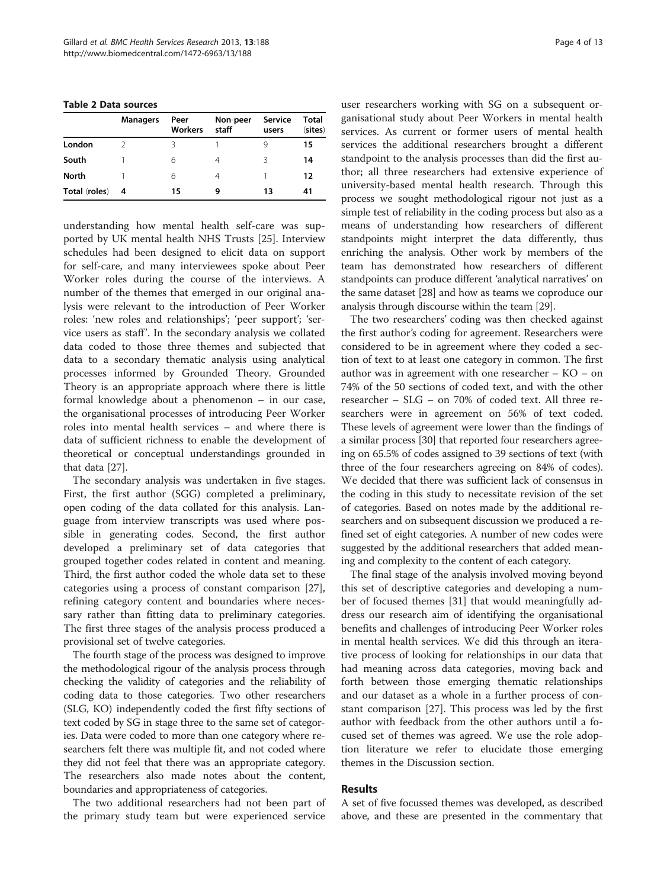<span id="page-3-0"></span>Table 2 Data sources

|               | <b>Managers</b> | Peer<br>Workers | Non-peer<br>staff | Service<br>users | Total<br>(sites) |
|---------------|-----------------|-----------------|-------------------|------------------|------------------|
| London        |                 | 3               |                   | g                | 15               |
| South         |                 | 6               | 4                 | ζ                | 14               |
| <b>North</b>  |                 | 6               | 4                 |                  | 12               |
| Total (roles) | 4               | 15              | 9                 | 13               | 41               |

understanding how mental health self-care was supported by UK mental health NHS Trusts [\[25](#page-12-0)]. Interview schedules had been designed to elicit data on support for self-care, and many interviewees spoke about Peer Worker roles during the course of the interviews. A number of the themes that emerged in our original analysis were relevant to the introduction of Peer Worker roles: 'new roles and relationships'; 'peer support'; 'service users as staff'. In the secondary analysis we collated data coded to those three themes and subjected that data to a secondary thematic analysis using analytical processes informed by Grounded Theory. Grounded Theory is an appropriate approach where there is little formal knowledge about a phenomenon – in our case, the organisational processes of introducing Peer Worker roles into mental health services – and where there is data of sufficient richness to enable the development of theoretical or conceptual understandings grounded in that data [[27\]](#page-12-0).

The secondary analysis was undertaken in five stages. First, the first author (SGG) completed a preliminary, open coding of the data collated for this analysis. Language from interview transcripts was used where possible in generating codes. Second, the first author developed a preliminary set of data categories that grouped together codes related in content and meaning. Third, the first author coded the whole data set to these categories using a process of constant comparison [\[27](#page-12-0)], refining category content and boundaries where necessary rather than fitting data to preliminary categories. The first three stages of the analysis process produced a provisional set of twelve categories.

The fourth stage of the process was designed to improve the methodological rigour of the analysis process through checking the validity of categories and the reliability of coding data to those categories. Two other researchers (SLG, KO) independently coded the first fifty sections of text coded by SG in stage three to the same set of categories. Data were coded to more than one category where researchers felt there was multiple fit, and not coded where they did not feel that there was an appropriate category. The researchers also made notes about the content, boundaries and appropriateness of categories.

The two additional researchers had not been part of the primary study team but were experienced service user researchers working with SG on a subsequent organisational study about Peer Workers in mental health services. As current or former users of mental health services the additional researchers brought a different standpoint to the analysis processes than did the first author; all three researchers had extensive experience of university-based mental health research. Through this process we sought methodological rigour not just as a simple test of reliability in the coding process but also as a means of understanding how researchers of different standpoints might interpret the data differently, thus enriching the analysis. Other work by members of the team has demonstrated how researchers of different standpoints can produce different 'analytical narratives' on the same dataset [[28](#page-12-0)] and how as teams we coproduce our analysis through discourse within the team [\[29](#page-12-0)].

The two researchers' coding was then checked against the first author's coding for agreement. Researchers were considered to be in agreement where they coded a section of text to at least one category in common. The first author was in agreement with one researcher – KO – on 74% of the 50 sections of coded text, and with the other researcher – SLG – on 70% of coded text. All three researchers were in agreement on 56% of text coded. These levels of agreement were lower than the findings of a similar process [[30](#page-12-0)] that reported four researchers agreeing on 65.5% of codes assigned to 39 sections of text (with three of the four researchers agreeing on 84% of codes). We decided that there was sufficient lack of consensus in the coding in this study to necessitate revision of the set of categories. Based on notes made by the additional researchers and on subsequent discussion we produced a refined set of eight categories. A number of new codes were suggested by the additional researchers that added meaning and complexity to the content of each category.

The final stage of the analysis involved moving beyond this set of descriptive categories and developing a number of focused themes [[31\]](#page-12-0) that would meaningfully address our research aim of identifying the organisational benefits and challenges of introducing Peer Worker roles in mental health services. We did this through an iterative process of looking for relationships in our data that had meaning across data categories, moving back and forth between those emerging thematic relationships and our dataset as a whole in a further process of constant comparison [\[27\]](#page-12-0). This process was led by the first author with feedback from the other authors until a focused set of themes was agreed. We use the role adoption literature we refer to elucidate those emerging themes in the Discussion section.

### Results

A set of five focussed themes was developed, as described above, and these are presented in the commentary that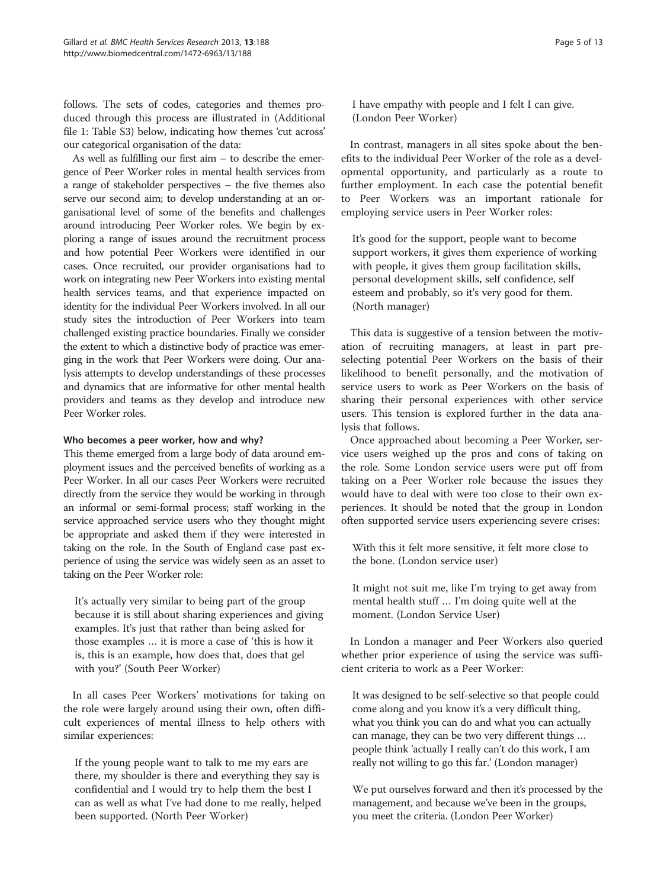follows. The sets of codes, categories and themes produced through this process are illustrated in (Additional file [1:](#page-11-0) Table S3) below, indicating how themes 'cut across' our categorical organisation of the data:

As well as fulfilling our first aim – to describe the emergence of Peer Worker roles in mental health services from a range of stakeholder perspectives – the five themes also serve our second aim; to develop understanding at an organisational level of some of the benefits and challenges around introducing Peer Worker roles. We begin by exploring a range of issues around the recruitment process and how potential Peer Workers were identified in our cases. Once recruited, our provider organisations had to work on integrating new Peer Workers into existing mental health services teams, and that experience impacted on identity for the individual Peer Workers involved. In all our study sites the introduction of Peer Workers into team challenged existing practice boundaries. Finally we consider the extent to which a distinctive body of practice was emerging in the work that Peer Workers were doing. Our analysis attempts to develop understandings of these processes and dynamics that are informative for other mental health providers and teams as they develop and introduce new Peer Worker roles.

## Who becomes a peer worker, how and why?

This theme emerged from a large body of data around employment issues and the perceived benefits of working as a Peer Worker. In all our cases Peer Workers were recruited directly from the service they would be working in through an informal or semi-formal process; staff working in the service approached service users who they thought might be appropriate and asked them if they were interested in taking on the role. In the South of England case past experience of using the service was widely seen as an asset to taking on the Peer Worker role:

It's actually very similar to being part of the group because it is still about sharing experiences and giving examples. It's just that rather than being asked for those examples … it is more a case of 'this is how it is, this is an example, how does that, does that gel with you?' (South Peer Worker)

In all cases Peer Workers' motivations for taking on the role were largely around using their own, often difficult experiences of mental illness to help others with similar experiences:

If the young people want to talk to me my ears are there, my shoulder is there and everything they say is confidential and I would try to help them the best I can as well as what I've had done to me really, helped been supported. (North Peer Worker)

I have empathy with people and I felt I can give. (London Peer Worker)

In contrast, managers in all sites spoke about the benefits to the individual Peer Worker of the role as a developmental opportunity, and particularly as a route to further employment. In each case the potential benefit to Peer Workers was an important rationale for employing service users in Peer Worker roles:

It's good for the support, people want to become support workers, it gives them experience of working with people, it gives them group facilitation skills, personal development skills, self confidence, self esteem and probably, so it's very good for them. (North manager)

This data is suggestive of a tension between the motivation of recruiting managers, at least in part preselecting potential Peer Workers on the basis of their likelihood to benefit personally, and the motivation of service users to work as Peer Workers on the basis of sharing their personal experiences with other service users. This tension is explored further in the data analysis that follows.

Once approached about becoming a Peer Worker, service users weighed up the pros and cons of taking on the role. Some London service users were put off from taking on a Peer Worker role because the issues they would have to deal with were too close to their own experiences. It should be noted that the group in London often supported service users experiencing severe crises:

With this it felt more sensitive, it felt more close to the bone. (London service user)

It might not suit me, like I'm trying to get away from mental health stuff … I'm doing quite well at the moment. (London Service User)

In London a manager and Peer Workers also queried whether prior experience of using the service was sufficient criteria to work as a Peer Worker:

It was designed to be self-selective so that people could come along and you know it's a very difficult thing, what you think you can do and what you can actually can manage, they can be two very different things … people think 'actually I really can't do this work, I am really not willing to go this far.' (London manager)

We put ourselves forward and then it's processed by the management, and because we've been in the groups, you meet the criteria. (London Peer Worker)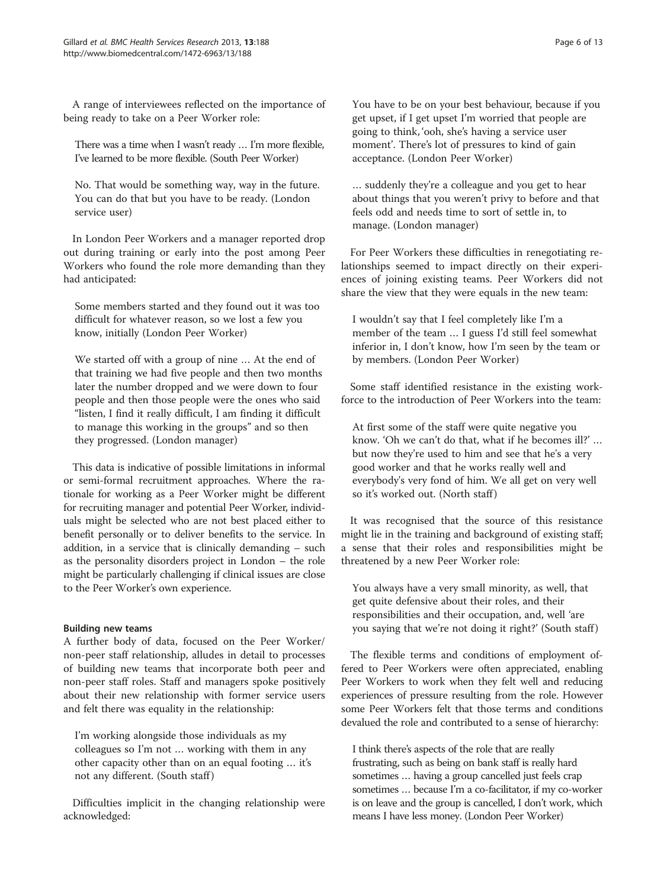A range of interviewees reflected on the importance of being ready to take on a Peer Worker role:

There was a time when I wasn't ready … I'm more flexible, I've learned to be more flexible. (South Peer Worker)

No. That would be something way, way in the future. You can do that but you have to be ready. (London service user)

In London Peer Workers and a manager reported drop out during training or early into the post among Peer Workers who found the role more demanding than they had anticipated:

Some members started and they found out it was too difficult for whatever reason, so we lost a few you know, initially (London Peer Worker)

We started off with a group of nine … At the end of that training we had five people and then two months later the number dropped and we were down to four people and then those people were the ones who said "listen, I find it really difficult, I am finding it difficult to manage this working in the groups" and so then they progressed. (London manager)

This data is indicative of possible limitations in informal or semi-formal recruitment approaches. Where the rationale for working as a Peer Worker might be different for recruiting manager and potential Peer Worker, individuals might be selected who are not best placed either to benefit personally or to deliver benefits to the service. In addition, in a service that is clinically demanding – such as the personality disorders project in London – the role might be particularly challenging if clinical issues are close to the Peer Worker's own experience.

## Building new teams

A further body of data, focused on the Peer Worker/ non-peer staff relationship, alludes in detail to processes of building new teams that incorporate both peer and non-peer staff roles. Staff and managers spoke positively about their new relationship with former service users and felt there was equality in the relationship:

I'm working alongside those individuals as my colleagues so I'm not … working with them in any other capacity other than on an equal footing … it's not any different. (South staff )

Difficulties implicit in the changing relationship were acknowledged:

You have to be on your best behaviour, because if you get upset, if I get upset I'm worried that people are going to think, 'ooh, she's having a service user moment'. There's lot of pressures to kind of gain acceptance. (London Peer Worker)

… suddenly they're a colleague and you get to hear about things that you weren't privy to before and that feels odd and needs time to sort of settle in, to manage. (London manager)

For Peer Workers these difficulties in renegotiating relationships seemed to impact directly on their experiences of joining existing teams. Peer Workers did not share the view that they were equals in the new team:

I wouldn't say that I feel completely like I'm a member of the team … I guess I'd still feel somewhat inferior in, I don't know, how I'm seen by the team or by members. (London Peer Worker)

Some staff identified resistance in the existing workforce to the introduction of Peer Workers into the team:

At first some of the staff were quite negative you know. 'Oh we can't do that, what if he becomes ill?' … but now they're used to him and see that he's a very good worker and that he works really well and everybody's very fond of him. We all get on very well so it's worked out. (North staff )

It was recognised that the source of this resistance might lie in the training and background of existing staff; a sense that their roles and responsibilities might be threatened by a new Peer Worker role:

You always have a very small minority, as well, that get quite defensive about their roles, and their responsibilities and their occupation, and, well 'are you saying that we're not doing it right?' (South staff)

The flexible terms and conditions of employment offered to Peer Workers were often appreciated, enabling Peer Workers to work when they felt well and reducing experiences of pressure resulting from the role. However some Peer Workers felt that those terms and conditions devalued the role and contributed to a sense of hierarchy:

I think there's aspects of the role that are really frustrating, such as being on bank staff is really hard sometimes … having a group cancelled just feels crap sometimes … because I'm a co-facilitator, if my co-worker is on leave and the group is cancelled, I don't work, which means I have less money. (London Peer Worker)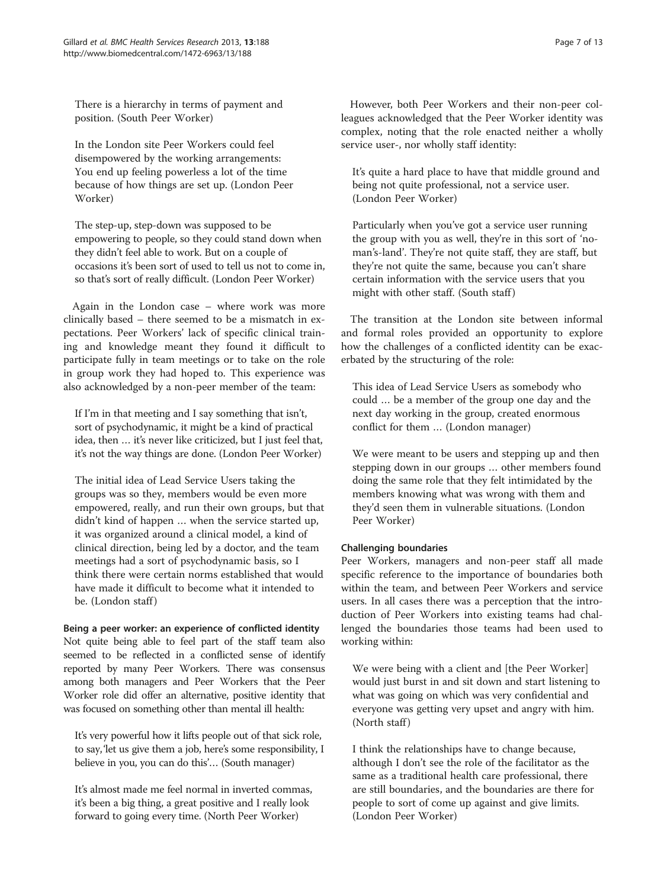There is a hierarchy in terms of payment and position. (South Peer Worker)

In the London site Peer Workers could feel disempowered by the working arrangements: You end up feeling powerless a lot of the time because of how things are set up. (London Peer Worker)

The step-up, step-down was supposed to be empowering to people, so they could stand down when they didn't feel able to work. But on a couple of occasions it's been sort of used to tell us not to come in, so that's sort of really difficult. (London Peer Worker)

Again in the London case – where work was more clinically based – there seemed to be a mismatch in expectations. Peer Workers' lack of specific clinical training and knowledge meant they found it difficult to participate fully in team meetings or to take on the role in group work they had hoped to. This experience was also acknowledged by a non-peer member of the team:

If I'm in that meeting and I say something that isn't, sort of psychodynamic, it might be a kind of practical idea, then … it's never like criticized, but I just feel that, it's not the way things are done. (London Peer Worker)

The initial idea of Lead Service Users taking the groups was so they, members would be even more empowered, really, and run their own groups, but that didn't kind of happen … when the service started up, it was organized around a clinical model, a kind of clinical direction, being led by a doctor, and the team meetings had a sort of psychodynamic basis, so I think there were certain norms established that would have made it difficult to become what it intended to be. (London staff)

Being a peer worker: an experience of conflicted identity Not quite being able to feel part of the staff team also seemed to be reflected in a conflicted sense of identify reported by many Peer Workers. There was consensus among both managers and Peer Workers that the Peer Worker role did offer an alternative, positive identity that was focused on something other than mental ill health:

It's very powerful how it lifts people out of that sick role, to say,'let us give them a job, here's some responsibility, I believe in you, you can do this'… (South manager)

It's almost made me feel normal in inverted commas, it's been a big thing, a great positive and I really look forward to going every time. (North Peer Worker)

However, both Peer Workers and their non-peer colleagues acknowledged that the Peer Worker identity was complex, noting that the role enacted neither a wholly service user-, nor wholly staff identity:

It's quite a hard place to have that middle ground and being not quite professional, not a service user. (London Peer Worker)

Particularly when you've got a service user running the group with you as well, they're in this sort of 'noman's-land'. They're not quite staff, they are staff, but they're not quite the same, because you can't share certain information with the service users that you might with other staff. (South staff )

The transition at the London site between informal and formal roles provided an opportunity to explore how the challenges of a conflicted identity can be exacerbated by the structuring of the role:

This idea of Lead Service Users as somebody who could … be a member of the group one day and the next day working in the group, created enormous conflict for them … (London manager)

We were meant to be users and stepping up and then stepping down in our groups … other members found doing the same role that they felt intimidated by the members knowing what was wrong with them and they'd seen them in vulnerable situations. (London Peer Worker)

## Challenging boundaries

Peer Workers, managers and non-peer staff all made specific reference to the importance of boundaries both within the team, and between Peer Workers and service users. In all cases there was a perception that the introduction of Peer Workers into existing teams had challenged the boundaries those teams had been used to working within:

We were being with a client and [the Peer Worker] would just burst in and sit down and start listening to what was going on which was very confidential and everyone was getting very upset and angry with him. (North staff)

I think the relationships have to change because, although I don't see the role of the facilitator as the same as a traditional health care professional, there are still boundaries, and the boundaries are there for people to sort of come up against and give limits. (London Peer Worker)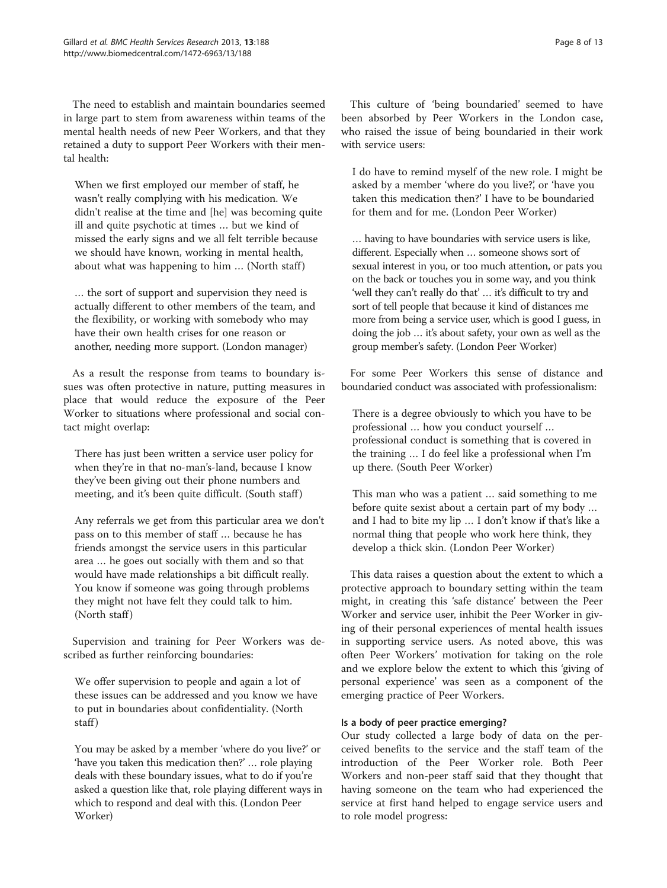The need to establish and maintain boundaries seemed in large part to stem from awareness within teams of the mental health needs of new Peer Workers, and that they retained a duty to support Peer Workers with their mental health:

When we first employed our member of staff, he wasn't really complying with his medication. We didn't realise at the time and [he] was becoming quite ill and quite psychotic at times … but we kind of missed the early signs and we all felt terrible because we should have known, working in mental health, about what was happening to him … (North staff )

… the sort of support and supervision they need is actually different to other members of the team, and the flexibility, or working with somebody who may have their own health crises for one reason or another, needing more support. (London manager)

As a result the response from teams to boundary issues was often protective in nature, putting measures in place that would reduce the exposure of the Peer Worker to situations where professional and social contact might overlap:

There has just been written a service user policy for when they're in that no-man's-land, because I know they've been giving out their phone numbers and meeting, and it's been quite difficult. (South staff)

Any referrals we get from this particular area we don't pass on to this member of staff … because he has friends amongst the service users in this particular area … he goes out socially with them and so that would have made relationships a bit difficult really. You know if someone was going through problems they might not have felt they could talk to him. (North staff)

Supervision and training for Peer Workers was described as further reinforcing boundaries:

We offer supervision to people and again a lot of these issues can be addressed and you know we have to put in boundaries about confidentiality. (North staff )

You may be asked by a member 'where do you live?' or 'have you taken this medication then?' … role playing deals with these boundary issues, what to do if you're asked a question like that, role playing different ways in which to respond and deal with this. (London Peer Worker)

This culture of 'being boundaried' seemed to have been absorbed by Peer Workers in the London case, who raised the issue of being boundaried in their work with service users:

I do have to remind myself of the new role. I might be asked by a member 'where do you live?', or 'have you taken this medication then?' I have to be boundaried for them and for me. (London Peer Worker)

… having to have boundaries with service users is like, different. Especially when … someone shows sort of sexual interest in you, or too much attention, or pats you on the back or touches you in some way, and you think 'well they can't really do that' … it's difficult to try and sort of tell people that because it kind of distances me more from being a service user, which is good I guess, in doing the job … it's about safety, your own as well as the group member's safety. (London Peer Worker)

For some Peer Workers this sense of distance and boundaried conduct was associated with professionalism:

There is a degree obviously to which you have to be professional … how you conduct yourself … professional conduct is something that is covered in the training … I do feel like a professional when I'm up there. (South Peer Worker)

This man who was a patient … said something to me before quite sexist about a certain part of my body … and I had to bite my lip … I don't know if that's like a normal thing that people who work here think, they develop a thick skin. (London Peer Worker)

This data raises a question about the extent to which a protective approach to boundary setting within the team might, in creating this 'safe distance' between the Peer Worker and service user, inhibit the Peer Worker in giving of their personal experiences of mental health issues in supporting service users. As noted above, this was often Peer Workers' motivation for taking on the role and we explore below the extent to which this 'giving of personal experience' was seen as a component of the emerging practice of Peer Workers.

## Is a body of peer practice emerging?

Our study collected a large body of data on the perceived benefits to the service and the staff team of the introduction of the Peer Worker role. Both Peer Workers and non-peer staff said that they thought that having someone on the team who had experienced the service at first hand helped to engage service users and to role model progress: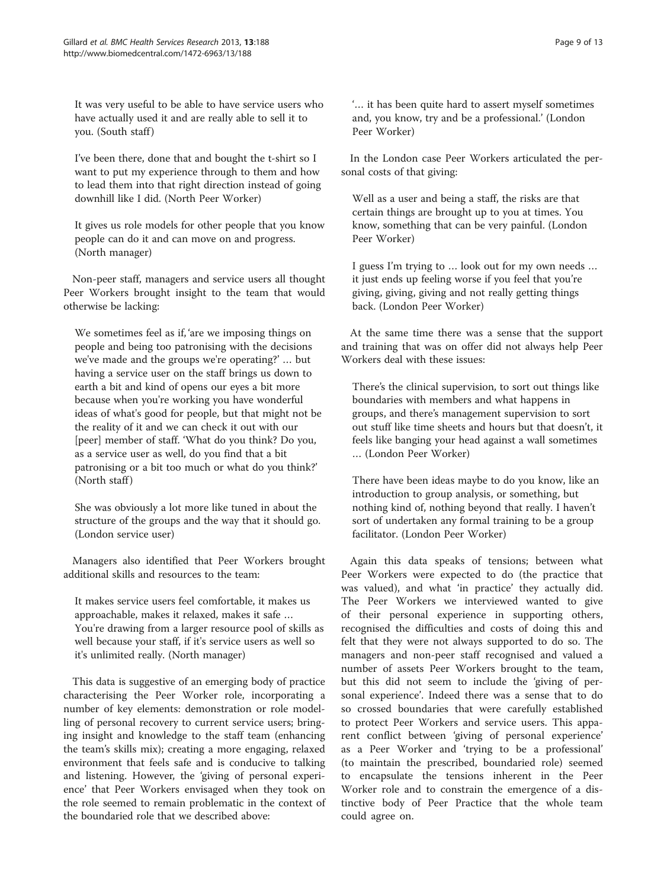It was very useful to be able to have service users who have actually used it and are really able to sell it to you. (South staff)

I've been there, done that and bought the t-shirt so I want to put my experience through to them and how to lead them into that right direction instead of going downhill like I did. (North Peer Worker)

It gives us role models for other people that you know people can do it and can move on and progress. (North manager)

Non-peer staff, managers and service users all thought Peer Workers brought insight to the team that would otherwise be lacking:

We sometimes feel as if, 'are we imposing things on people and being too patronising with the decisions we've made and the groups we're operating?' … but having a service user on the staff brings us down to earth a bit and kind of opens our eyes a bit more because when you're working you have wonderful ideas of what's good for people, but that might not be the reality of it and we can check it out with our [peer] member of staff. 'What do you think? Do you, as a service user as well, do you find that a bit patronising or a bit too much or what do you think?' (North staff)

She was obviously a lot more like tuned in about the structure of the groups and the way that it should go. (London service user)

Managers also identified that Peer Workers brought additional skills and resources to the team:

It makes service users feel comfortable, it makes us approachable, makes it relaxed, makes it safe … You're drawing from a larger resource pool of skills as well because your staff, if it's service users as well so it's unlimited really. (North manager)

This data is suggestive of an emerging body of practice characterising the Peer Worker role, incorporating a number of key elements: demonstration or role modelling of personal recovery to current service users; bringing insight and knowledge to the staff team (enhancing the team's skills mix); creating a more engaging, relaxed environment that feels safe and is conducive to talking and listening. However, the 'giving of personal experience' that Peer Workers envisaged when they took on the role seemed to remain problematic in the context of the boundaried role that we described above:

'… it has been quite hard to assert myself sometimes and, you know, try and be a professional.' (London Peer Worker)

In the London case Peer Workers articulated the personal costs of that giving:

Well as a user and being a staff, the risks are that certain things are brought up to you at times. You know, something that can be very painful. (London Peer Worker)

I guess I'm trying to … look out for my own needs … it just ends up feeling worse if you feel that you're giving, giving, giving and not really getting things back. (London Peer Worker)

At the same time there was a sense that the support and training that was on offer did not always help Peer Workers deal with these issues:

There's the clinical supervision, to sort out things like boundaries with members and what happens in groups, and there's management supervision to sort out stuff like time sheets and hours but that doesn't, it feels like banging your head against a wall sometimes … (London Peer Worker)

There have been ideas maybe to do you know, like an introduction to group analysis, or something, but nothing kind of, nothing beyond that really. I haven't sort of undertaken any formal training to be a group facilitator. (London Peer Worker)

Again this data speaks of tensions; between what Peer Workers were expected to do (the practice that was valued), and what 'in practice' they actually did. The Peer Workers we interviewed wanted to give of their personal experience in supporting others, recognised the difficulties and costs of doing this and felt that they were not always supported to do so. The managers and non-peer staff recognised and valued a number of assets Peer Workers brought to the team, but this did not seem to include the 'giving of personal experience'. Indeed there was a sense that to do so crossed boundaries that were carefully established to protect Peer Workers and service users. This apparent conflict between 'giving of personal experience' as a Peer Worker and 'trying to be a professional' (to maintain the prescribed, boundaried role) seemed to encapsulate the tensions inherent in the Peer Worker role and to constrain the emergence of a distinctive body of Peer Practice that the whole team could agree on.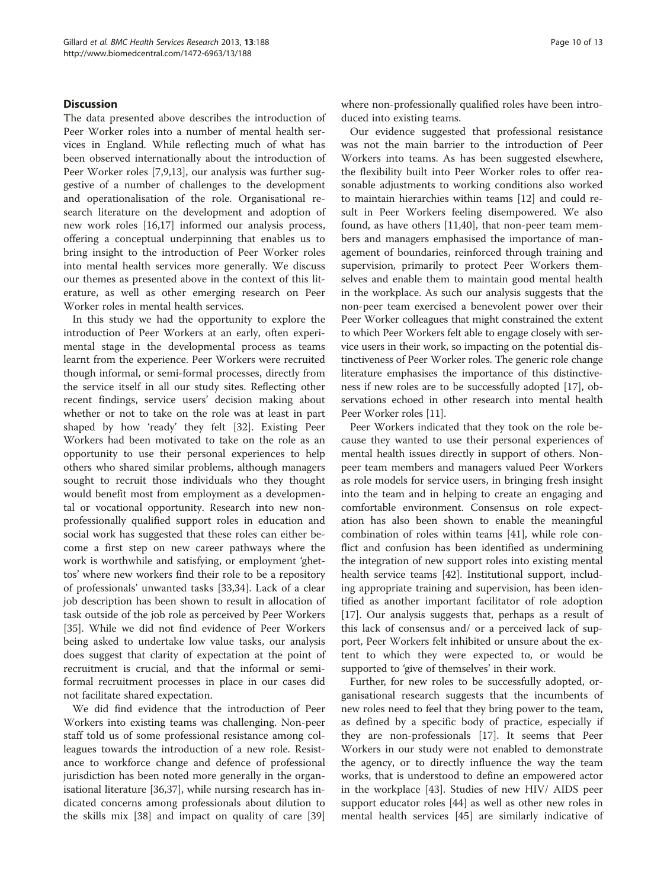## **Discussion**

The data presented above describes the introduction of Peer Worker roles into a number of mental health services in England. While reflecting much of what has been observed internationally about the introduction of Peer Worker roles [[7,9,13\]](#page-11-0), our analysis was further suggestive of a number of challenges to the development and operationalisation of the role. Organisational research literature on the development and adoption of new work roles [[16,17\]](#page-12-0) informed our analysis process, offering a conceptual underpinning that enables us to bring insight to the introduction of Peer Worker roles into mental health services more generally. We discuss our themes as presented above in the context of this literature, as well as other emerging research on Peer Worker roles in mental health services.

In this study we had the opportunity to explore the introduction of Peer Workers at an early, often experimental stage in the developmental process as teams learnt from the experience. Peer Workers were recruited though informal, or semi-formal processes, directly from the service itself in all our study sites. Reflecting other recent findings, service users' decision making about whether or not to take on the role was at least in part shaped by how 'ready' they felt [\[32](#page-12-0)]. Existing Peer Workers had been motivated to take on the role as an opportunity to use their personal experiences to help others who shared similar problems, although managers sought to recruit those individuals who they thought would benefit most from employment as a developmental or vocational opportunity. Research into new nonprofessionally qualified support roles in education and social work has suggested that these roles can either become a first step on new career pathways where the work is worthwhile and satisfying, or employment 'ghettos' where new workers find their role to be a repository of professionals' unwanted tasks [[33](#page-12-0),[34](#page-12-0)]. Lack of a clear job description has been shown to result in allocation of task outside of the job role as perceived by Peer Workers [[35\]](#page-12-0). While we did not find evidence of Peer Workers being asked to undertake low value tasks, our analysis does suggest that clarity of expectation at the point of recruitment is crucial, and that the informal or semiformal recruitment processes in place in our cases did not facilitate shared expectation.

We did find evidence that the introduction of Peer Workers into existing teams was challenging. Non-peer staff told us of some professional resistance among colleagues towards the introduction of a new role. Resistance to workforce change and defence of professional jurisdiction has been noted more generally in the organisational literature [\[36,37\]](#page-12-0), while nursing research has indicated concerns among professionals about dilution to the skills mix [[38](#page-12-0)] and impact on quality of care [[39](#page-12-0)]

where non-professionally qualified roles have been introduced into existing teams.

Our evidence suggested that professional resistance was not the main barrier to the introduction of Peer Workers into teams. As has been suggested elsewhere, the flexibility built into Peer Worker roles to offer reasonable adjustments to working conditions also worked to maintain hierarchies within teams [\[12\]](#page-11-0) and could result in Peer Workers feeling disempowered. We also found, as have others [[11,](#page-11-0)[40\]](#page-12-0), that non-peer team members and managers emphasised the importance of management of boundaries, reinforced through training and supervision, primarily to protect Peer Workers themselves and enable them to maintain good mental health in the workplace. As such our analysis suggests that the non-peer team exercised a benevolent power over their Peer Worker colleagues that might constrained the extent to which Peer Workers felt able to engage closely with service users in their work, so impacting on the potential distinctiveness of Peer Worker roles. The generic role change literature emphasises the importance of this distinctiveness if new roles are to be successfully adopted [[17](#page-12-0)], observations echoed in other research into mental health Peer Worker roles [[11](#page-11-0)].

Peer Workers indicated that they took on the role because they wanted to use their personal experiences of mental health issues directly in support of others. Nonpeer team members and managers valued Peer Workers as role models for service users, in bringing fresh insight into the team and in helping to create an engaging and comfortable environment. Consensus on role expectation has also been shown to enable the meaningful combination of roles within teams [[41\]](#page-12-0), while role conflict and confusion has been identified as undermining the integration of new support roles into existing mental health service teams [[42\]](#page-12-0). Institutional support, including appropriate training and supervision, has been identified as another important facilitator of role adoption [[17\]](#page-12-0). Our analysis suggests that, perhaps as a result of this lack of consensus and/ or a perceived lack of support, Peer Workers felt inhibited or unsure about the extent to which they were expected to, or would be supported to 'give of themselves' in their work.

Further, for new roles to be successfully adopted, organisational research suggests that the incumbents of new roles need to feel that they bring power to the team, as defined by a specific body of practice, especially if they are non-professionals [[17](#page-12-0)]. It seems that Peer Workers in our study were not enabled to demonstrate the agency, or to directly influence the way the team works, that is understood to define an empowered actor in the workplace [[43\]](#page-12-0). Studies of new HIV/ AIDS peer support educator roles [\[44](#page-12-0)] as well as other new roles in mental health services [\[45](#page-12-0)] are similarly indicative of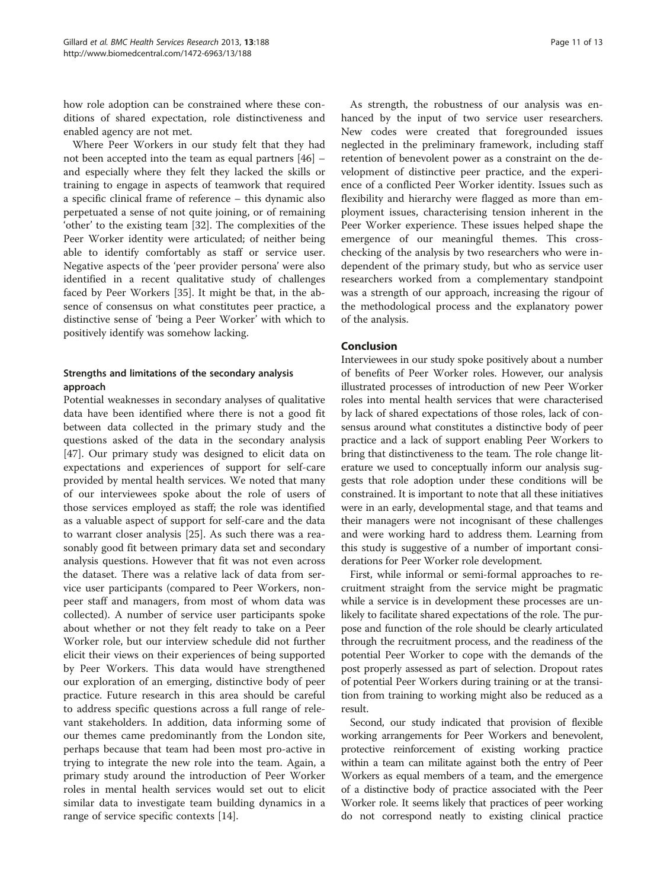how role adoption can be constrained where these conditions of shared expectation, role distinctiveness and enabled agency are not met.

Where Peer Workers in our study felt that they had not been accepted into the team as equal partners [[46](#page-12-0)] – and especially where they felt they lacked the skills or training to engage in aspects of teamwork that required a specific clinical frame of reference – this dynamic also perpetuated a sense of not quite joining, or of remaining 'other' to the existing team [\[32](#page-12-0)]. The complexities of the Peer Worker identity were articulated; of neither being able to identify comfortably as staff or service user. Negative aspects of the 'peer provider persona' were also identified in a recent qualitative study of challenges faced by Peer Workers [\[35](#page-12-0)]. It might be that, in the absence of consensus on what constitutes peer practice, a distinctive sense of 'being a Peer Worker' with which to positively identify was somehow lacking.

## Strengths and limitations of the secondary analysis approach

Potential weaknesses in secondary analyses of qualitative data have been identified where there is not a good fit between data collected in the primary study and the questions asked of the data in the secondary analysis [[47\]](#page-12-0). Our primary study was designed to elicit data on expectations and experiences of support for self-care provided by mental health services. We noted that many of our interviewees spoke about the role of users of those services employed as staff; the role was identified as a valuable aspect of support for self-care and the data to warrant closer analysis [[25](#page-12-0)]. As such there was a reasonably good fit between primary data set and secondary analysis questions. However that fit was not even across the dataset. There was a relative lack of data from service user participants (compared to Peer Workers, nonpeer staff and managers, from most of whom data was collected). A number of service user participants spoke about whether or not they felt ready to take on a Peer Worker role, but our interview schedule did not further elicit their views on their experiences of being supported by Peer Workers. This data would have strengthened our exploration of an emerging, distinctive body of peer practice. Future research in this area should be careful to address specific questions across a full range of relevant stakeholders. In addition, data informing some of our themes came predominantly from the London site, perhaps because that team had been most pro-active in trying to integrate the new role into the team. Again, a primary study around the introduction of Peer Worker roles in mental health services would set out to elicit similar data to investigate team building dynamics in a range of service specific contexts [[14\]](#page-12-0).

As strength, the robustness of our analysis was enhanced by the input of two service user researchers. New codes were created that foregrounded issues neglected in the preliminary framework, including staff retention of benevolent power as a constraint on the development of distinctive peer practice, and the experience of a conflicted Peer Worker identity. Issues such as flexibility and hierarchy were flagged as more than employment issues, characterising tension inherent in the Peer Worker experience. These issues helped shape the emergence of our meaningful themes. This crosschecking of the analysis by two researchers who were independent of the primary study, but who as service user researchers worked from a complementary standpoint was a strength of our approach, increasing the rigour of the methodological process and the explanatory power of the analysis.

## Conclusion

Interviewees in our study spoke positively about a number of benefits of Peer Worker roles. However, our analysis illustrated processes of introduction of new Peer Worker roles into mental health services that were characterised by lack of shared expectations of those roles, lack of consensus around what constitutes a distinctive body of peer practice and a lack of support enabling Peer Workers to bring that distinctiveness to the team. The role change literature we used to conceptually inform our analysis suggests that role adoption under these conditions will be constrained. It is important to note that all these initiatives were in an early, developmental stage, and that teams and their managers were not incognisant of these challenges and were working hard to address them. Learning from this study is suggestive of a number of important considerations for Peer Worker role development.

First, while informal or semi-formal approaches to recruitment straight from the service might be pragmatic while a service is in development these processes are unlikely to facilitate shared expectations of the role. The purpose and function of the role should be clearly articulated through the recruitment process, and the readiness of the potential Peer Worker to cope with the demands of the post properly assessed as part of selection. Dropout rates of potential Peer Workers during training or at the transition from training to working might also be reduced as a result.

Second, our study indicated that provision of flexible working arrangements for Peer Workers and benevolent, protective reinforcement of existing working practice within a team can militate against both the entry of Peer Workers as equal members of a team, and the emergence of a distinctive body of practice associated with the Peer Worker role. It seems likely that practices of peer working do not correspond neatly to existing clinical practice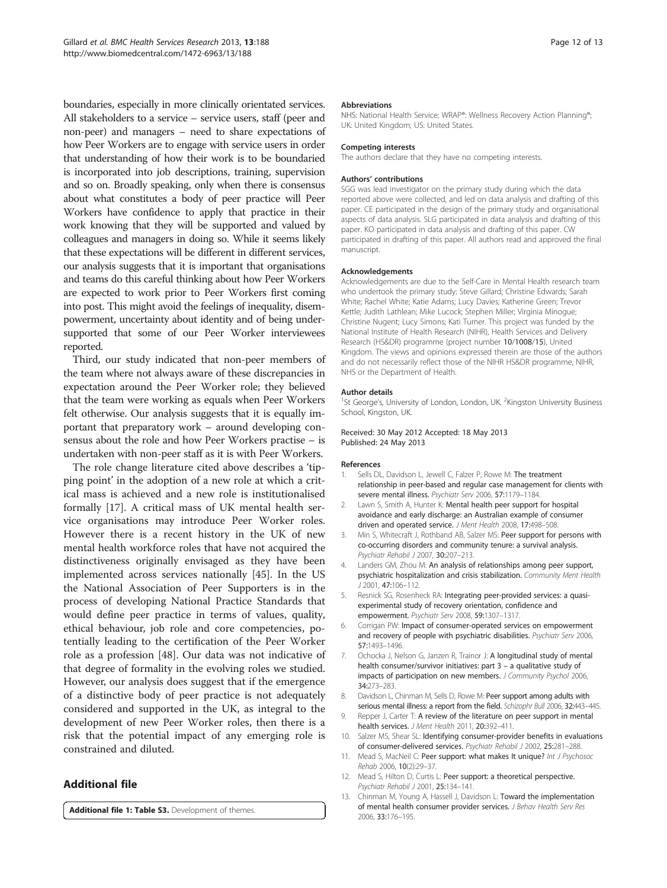<span id="page-11-0"></span>boundaries, especially in more clinically orientated services. All stakeholders to a service – service users, staff (peer and non-peer) and managers – need to share expectations of how Peer Workers are to engage with service users in order that understanding of how their work is to be boundaried is incorporated into job descriptions, training, supervision and so on. Broadly speaking, only when there is consensus about what constitutes a body of peer practice will Peer Workers have confidence to apply that practice in their work knowing that they will be supported and valued by colleagues and managers in doing so. While it seems likely that these expectations will be different in different services, our analysis suggests that it is important that organisations and teams do this careful thinking about how Peer Workers are expected to work prior to Peer Workers first coming into post. This might avoid the feelings of inequality, disempowerment, uncertainty about identity and of being undersupported that some of our Peer Worker interviewees reported.

Third, our study indicated that non-peer members of the team where not always aware of these discrepancies in expectation around the Peer Worker role; they believed that the team were working as equals when Peer Workers felt otherwise. Our analysis suggests that it is equally important that preparatory work – around developing consensus about the role and how Peer Workers practise – is undertaken with non-peer staff as it is with Peer Workers.

The role change literature cited above describes a 'tipping point' in the adoption of a new role at which a critical mass is achieved and a new role is institutionalised formally [[17](#page-12-0)]. A critical mass of UK mental health service organisations may introduce Peer Worker roles. However there is a recent history in the UK of new mental health workforce roles that have not acquired the distinctiveness originally envisaged as they have been implemented across services nationally [\[45](#page-12-0)]. In the US the National Association of Peer Supporters is in the process of developing National Practice Standards that would define peer practice in terms of values, quality, ethical behaviour, job role and core competencies, potentially leading to the certification of the Peer Worker role as a profession [\[48](#page-12-0)]. Our data was not indicative of that degree of formality in the evolving roles we studied. However, our analysis does suggest that if the emergence of a distinctive body of peer practice is not adequately considered and supported in the UK, as integral to the development of new Peer Worker roles, then there is a risk that the potential impact of any emerging role is constrained and diluted.

## Additional file

[Additional file 1: Table S3.](http://www.biomedcentral.com/content/supplementary/1472-6963-13-188-S1.pdf) Development of themes.

#### Abbreviations

NHS: National Health Service; WRAP®: Wellness Recovery Action Planning®; UK: United Kingdom; US: United States.

#### Competing interests

The authors declare that they have no competing interests.

#### Authors' contributions

SGG was lead investigator on the primary study during which the data reported above were collected, and led on data analysis and drafting of this paper. CE participated in the design of the primary study and organisational aspects of data analysis. SLG participated in data analysis and drafting of this paper. KO participated in data analysis and drafting of this paper. CW participated in drafting of this paper. All authors read and approved the final manuscript.

#### Acknowledgements

Acknowledgements are due to the Self-Care in Mental Health research team who undertook the primary study: Steve Gillard; Christine Edwards; Sarah White; Rachel White; Katie Adams; Lucy Davies; Katherine Green; Trevor Kettle; Judith Lathlean; Mike Lucock; Stephen Miller; Virginia Minogue; Christine Nugent; Lucy Simons; Kati Turner. This project was funded by the National Institute of Health Research (NIHR), Health Services and Delivery Research (HS&DR) programme (project number 10/1008/15), United Kingdom. The views and opinions expressed therein are those of the authors and do not necessarily reflect those of the NIHR HS&DR programme, NIHR, NHS or the Department of Health.

#### Author details

<sup>1</sup>St George's, University of London, London, UK.<sup>2</sup>Kingston University Business School, Kingston, UK.

Received: 30 May 2012 Accepted: 18 May 2013 Published: 24 May 2013

#### References

- 1. Sells DL, Davidson L, Jewell C, Falzer P, Rowe M: The treatment relationship in peer-based and regular case management for clients with severe mental illness. Psychiatr Serv 2006, 57:1179–1184.
- 2. Lawn S, Smith A, Hunter K: Mental health peer support for hospital avoidance and early discharge: an Australian example of consumer driven and operated service. J Ment Health 2008, 17:498–508.
- 3. Min S, Whitecraft J, Rothband AB, Salzer MS: Peer support for persons with co-occurring disorders and community tenure: a survival analysis. Psychiatr Rehabil J 2007, 30:207–213.
- 4. Landers GM, Zhou M: An analysis of relationships among peer support, psychiatric hospitalization and crisis stabilization. Community Ment Health J 2001, 47:106–112.
- Resnick SG, Rosenheck RA: Integrating peer-provided services: a quasiexperimental study of recovery orientation, confidence and empowerment. Psychiatr Serv 2008, 59:1307–1317.
- 6. Corrigan PW: Impact of consumer-operated services on empowerment and recovery of people with psychiatric disabilities. Psychiatr Serv 2006, 57:1493–1496.
- 7. Ochocka J, Nelson G, Janzen R, Trainor J: A longitudinal study of mental health consumer/survivor initiatives: part 3 – a qualitative study of impacts of participation on new members. J Community Psychol 2006, 34:273–283.
- 8. Davidson L, Chinman M, Sells D, Rowe M: Peer support among adults with serious mental illness: a report from the field. Schizophr Bull 2006, 32:443-445.
- 9. Repper J, Carter T: A review of the literature on peer support in mental health services. J Ment Health 2011, 20:392–411.
- 10. Salzer MS, Shear SL: Identifying consumer-provider benefits in evaluations of consumer-delivered services. Psychiatr Rehabil J 2002, 25:281–288.
- 11. Mead S, MacNeil C: Peer support: what makes It unique? Int J Psychosoc Rehab 2006, 10(2):29–37.
- 12. Mead S, Hilton D, Curtis L: Peer support: a theoretical perspective. Psychiatr Rehabil J 2001, 25:134–141.
- 13. Chinman M, Young A, Hassell J, Davidson L: Toward the implementation of mental health consumer provider services. J Behav Health Serv Res 2006, 33:176–195.